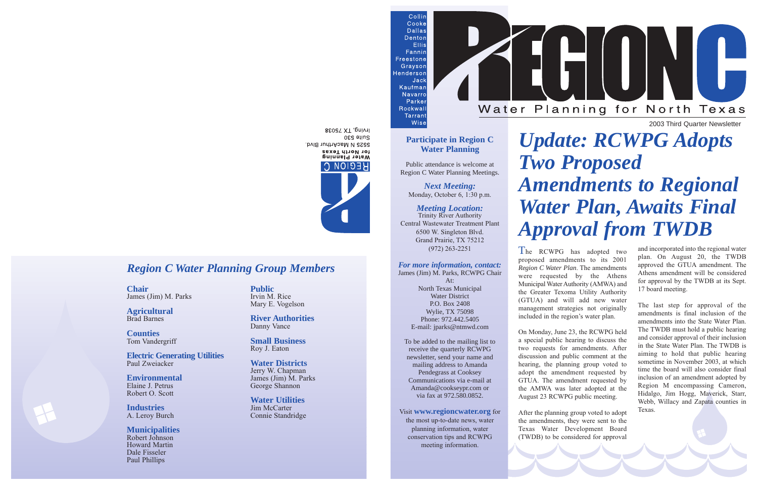2003 Third Quarter Newsletter

## *Region C Water Planning Group Members*

**Chair** James (Jim) M. Parks

**Agricultural** Brad Barnes

**Counties** Tom Vandergriff

**Electric Generating Utilities** Paul Zweiacker

**Environmental** Elaine J. Petrus Robert O. Scott

**Industries** A. Leroy Burch

**Municipalities** Robert Johnson Howard Martin Dale Fisseler Paul Phillips

**Public** Irvin M. Rice Mary E. Vogelson

**River Authorities** Danny Vance

**Small Business** Roy J. Eaton

**Water Districts** Jerry W. Chapman James (Jim) M. Parks George Shannon

**Water Utilities** Jim McCarter Connie Standridge



### **Participate in Region C Water Planning**

Wise

Public attendance is welcome at Region C Water Planning Meetings.

*Next Meeting:* Monday, October 6, 1:30 p.m.

### *Meeting Location:*

Trinity River Authority Central Wastewater Treatment Plant 6500 W. Singleton Blvd. Grand Prairie, TX 75212 (972) 263-2251

#### *For more information, contact:* James (Jim) M. Parks, RCWPG Chair

At: North Texas Municipal Water District P.O. Box 2408 Wylie, TX 75098 Phone: 972.442.5405 E-mail: jparks@ntmwd.com

To be added to the mailing list to receive the quarterly RCWPG newsletter, send your name and mailing address to Amanda Pendegrass at Cooksey Communications via e-mail at Amanda@cookseypr.com or via fax at 972.580.0852.

## Visit **www.regioncwater.org** for

the most up-to-date news, water planning information, water conservation tips and RCWPG meeting information.

BEOGT XT, pnivil Suite 530 5525 N MacArthur Blvd. for North Texas Water Planing **HEGION C.** 

# *Update: RCWPG Adopts Two Proposed Amendments to Regional Water Plan, Awaits Final Approval from TWDB*

The RCWPG has adopted two proposed amendments to its 2001 *Region C Water Plan*. The amendments were requested by the Athens Municipal Water Authority (AMWA) and the Greater Texoma Utility Authority (GTUA) and will add new water management strategies not originally included in the region's water plan.

On Monday, June 23, the RCWPG held a special public hearing to discuss the two requests for amendments. After discussion and public comment at the hearing, the planning group voted to adopt the amendment requested by GTUA. The amendment requested by the AMWA was later adopted at the August 23 RCWPG public meeting.

After the planning group voted to adopt the amendments, they were sent to the Texas Water Development Board (TWDB) to be considered for approval

Water Planning for North Texas

H

l

and incorporated into the regional water plan. On August 20, the TWDB approved the GTUA amendment. The Athens amendment will be considered for approval by the TWDB at its Sept. 17 board meeting.

The last step for approval of the amendments is final inclusion of the amendments into the State Water Plan. The TWDB must hold a public hearing and consider approval of their inclusion in the State Water Plan. The TWDB is aiming to hold that public hearing sometime in November 2003, at which time the board will also consider final inclusion of an amendment adopted by Region M encompassing Cameron, Hidalgo, Jim Hogg, Maverick, Starr, Webb, Willacy and Zapata counties in Texas.